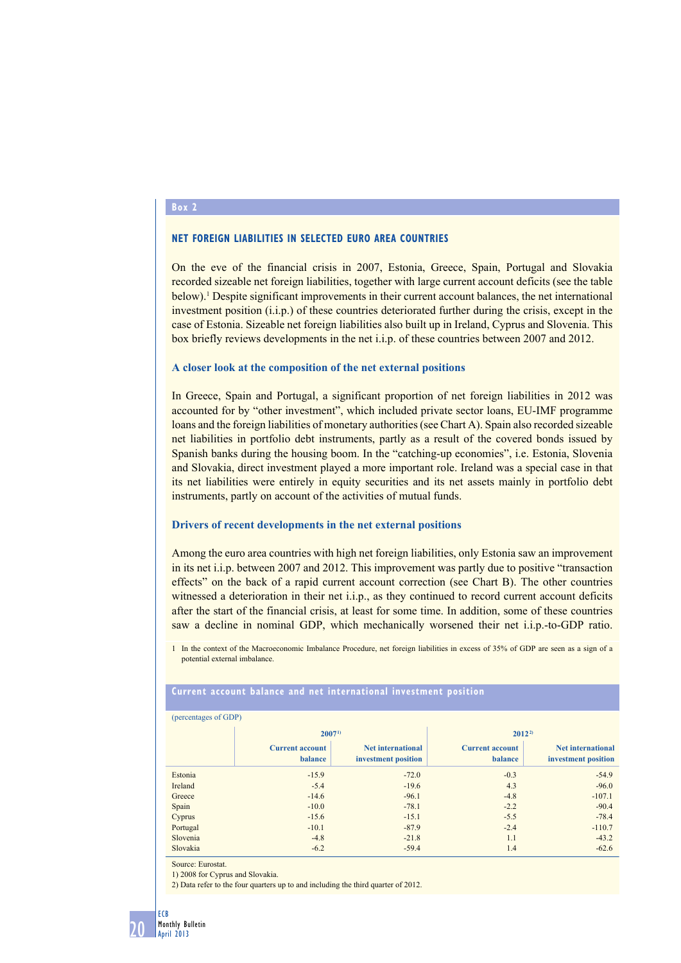## **Box 2**

## **Net foreign liabilities in selected euro area countries**

On the eve of the financial crisis in 2007, Estonia, Greece, Spain, Portugal and Slovakia recorded sizeable net foreign liabilities, together with large current account deficits (see the table below).<sup>1</sup> Despite significant improvements in their current account balances, the net international investment position (i.i.p.) of these countries deteriorated further during the crisis, except in the case of Estonia. Sizeable net foreign liabilities also built up in Ireland, Cyprus and Slovenia. This box briefly reviews developments in the net i.i.p. of these countries between 2007 and 2012.

### **A closer look at the composition of the net external positions**

In Greece, Spain and Portugal, a significant proportion of net foreign liabilities in 2012 was accounted for by "other investment", which included private sector loans, EU-IMF programme loans and the foreign liabilities of monetary authorities (see Chart A). Spain also recorded sizeable net liabilities in portfolio debt instruments, partly as a result of the covered bonds issued by Spanish banks during the housing boom. In the "catching-up economies", i.e. Estonia, Slovenia and Slovakia, direct investment played a more important role. Ireland was a special case in that its net liabilities were entirely in equity securities and its net assets mainly in portfolio debt instruments, partly on account of the activities of mutual funds.

### **Drivers of recent developments in the net external positions**

Among the euro area countries with high net foreign liabilities, only Estonia saw an improvement in its net i.i.p. between 2007 and 2012. This improvement was partly due to positive "transaction effects" on the back of a rapid current account correction (see Chart B). The other countries witnessed a deterioration in their net i.i.p., as they continued to record current account deficits after the start of the financial crisis, at least for some time. In addition, some of these countries saw a decline in nominal GDP, which mechanically worsened their net i.i.p.-to-GDP ratio.

1 In the context of the Macroeconomic Imbalance Procedure, net foreign liabilities in excess of 35% of GDP are seen as a sign of a potential external imbalance.

# **Current account balance and net international investment position**

| (percentages of GDP) |                                   |                                                 |                                   |                                                 |
|----------------------|-----------------------------------|-------------------------------------------------|-----------------------------------|-------------------------------------------------|
|                      | 2007 <sup>1</sup>                 |                                                 | $2012^{2}$                        |                                                 |
|                      | <b>Current account</b><br>balance | <b>Net international</b><br>investment position | <b>Current account</b><br>balance | <b>Net international</b><br>investment position |
| Estonia              | $-15.9$                           | $-72.0$                                         | $-0.3$                            | $-54.9$                                         |
| Ireland              | $-5.4$                            | $-19.6$                                         | 4.3                               | $-96.0$                                         |
| Greece               | $-14.6$                           | $-96.1$                                         | $-4.8$                            | $-107.1$                                        |
| Spain                | $-10.0$                           | $-78.1$                                         | $-2.2$                            | $-90.4$                                         |
| Cyprus               | $-15.6$                           | $-15.1$                                         | $-5.5$                            | $-78.4$                                         |
| Portugal             | $-10.1$                           | $-87.9$                                         | $-2.4$                            | $-110.7$                                        |
| Slovenia             | $-4.8$                            | $-21.8$                                         | 1.1                               | $-43.2$                                         |
| Slovakia             | $-6.2$                            | $-59.4$                                         | 1.4                               | $-62.6$                                         |

Source: Eurostat.

1) 2008 for Cyprus and Slovakia.

2) Data refer to the four quarters up to and including the third quarter of 2012.